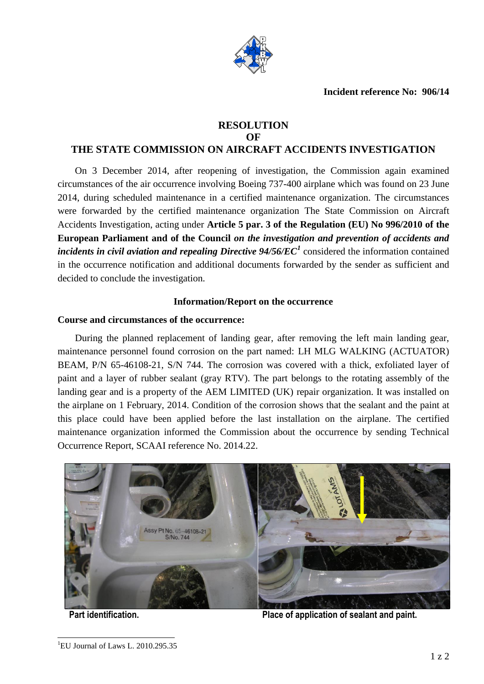

# **RESOLUTION OF**

# **THE STATE COMMISSION ON AIRCRAFT ACCIDENTS INVESTIGATION**

On 3 December 2014, after reopening of investigation, the Commission again examined circumstances of the air occurrence involving Boeing 737-400 airplane which was found on 23 June 2014, during scheduled maintenance in a certified maintenance organization. The circumstances were forwarded by the certified maintenance organization The State Commission on Aircraft Accidents Investigation, acting under **Article 5 par. 3 of the Regulation (EU) No 996/2010 of the European Parliament and of the Council** *on the investigation and prevention of accidents and incidents in civil aviation and repealing Directive 94/56/EC<sup>1</sup>* considered the information contained in the occurrence notification and additional documents forwarded by the sender as sufficient and decided to conclude the investigation.

## **Information/Report on the occurrence**

## **Course and circumstances of the occurrence:**

During the planned replacement of landing gear, after removing the left main landing gear, maintenance personnel found corrosion on the part named: LH MLG WALKING (ACTUATOR) BEAM, P/N 65-46108-21, S/N 744. The corrosion was covered with a thick, exfoliated layer of paint and a layer of rubber sealant (gray RTV). The part belongs to the rotating assembly of the landing gear and is a property of the AEM LIMITED (UK) repair organization. It was installed on the airplane on 1 February, 2014. Condition of the corrosion shows that the sealant and the paint at this place could have been applied before the last installation on the airplane. The certified maintenance organization informed the Commission about the occurrence by sending Technical Occurrence Report, SCAAI reference No. 2014.22.



 $\overline{a}$ 

**Part identification. Place of application of sealant and paint.**